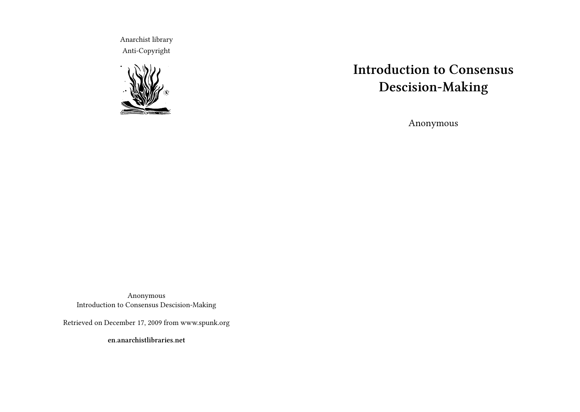Anarchist library Anti-Copyright



# **Introduction to Consensus Descision-Making**

Anonymous

Anonymous Introduction to Consensus Descision-Making

Retrieved on December 17, 2009 from www.spunk.org

**en.anarchistlibraries.net**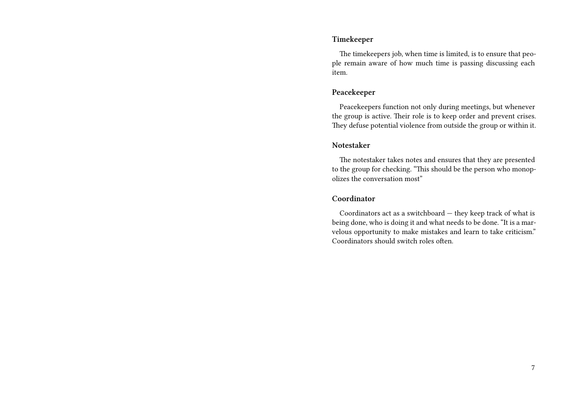### **Timekeeper**

The timekeepers job, when time is limited, is to ensure that people remain aware of how much time is passing discussing each item.

### **Peacekeeper**

Peacekeepers function not only during meetings, but whenever the group is active. Their role is to keep order and prevent crises. They defuse potential violence from outside the group or within it.

### **Notestaker**

The notestaker takes notes and ensures that they are presented to the group for checking. "This should be the person who monopolizes the conversation most"

### **Coordinator**

Coordinators act as a switchboard — they keep track of what is being done, who is doing it and what needs to be done. "It is a marvelous opportunity to make mistakes and learn to take criticism." Coordinators should switch roles often.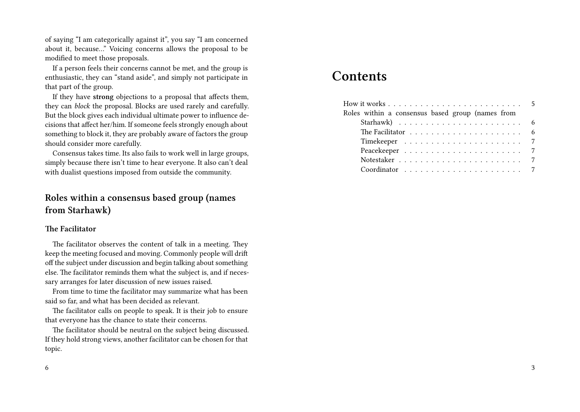of saying "I am categorically against it", you say "I am concerned about it, because…" Voicing concerns allows the proposal to be modified to meet those proposals.

If a person feels their concerns cannot be met, and the group is enthusiastic, they can "stand aside", and simply not participate in that part of the group.

If they have **strong** objections to a proposal that affects them, they can *block* the proposal. Blocks are used rarely and carefully. But the block gives each individual ultimate power to influence decisions that affect her/him. If someone feels strongly enough about something to block it, they are probably aware of factors the group should consider more carefully.

Consensus takes time. Its also fails to work well in large groups, simply because there isn't time to hear everyone. It also can't deal with dualist questions imposed from outside the community.

### **Roles within a consensus based group (names from Starhawk)**

#### **The Facilitator**

The facilitator observes the content of talk in a meeting. They keep the meeting focused and moving. Commonly people will drift off the subject under discussion and begin talking about something else. The facilitator reminds them what the subject is, and if necessary arranges for later discussion of new issues raised.

From time to time the facilitator may summarize what has been said so far, and what has been decided as relevant.

The facilitator calls on people to speak. It is their job to ensure that everyone has the chance to state their concerns.

The facilitator should be neutral on the subject being discussed. If they hold strong views, another facilitator can be chosen for that topic.

#### 6

## **Contents**

| Roles within a consensus based group (names from                      |  |
|-----------------------------------------------------------------------|--|
| Starhawk) $\ldots \ldots \ldots \ldots \ldots \ldots \ldots \ldots 6$ |  |
| The Facilitator $\ldots \ldots \ldots \ldots \ldots \ldots \ldots$    |  |
|                                                                       |  |
|                                                                       |  |
|                                                                       |  |
|                                                                       |  |